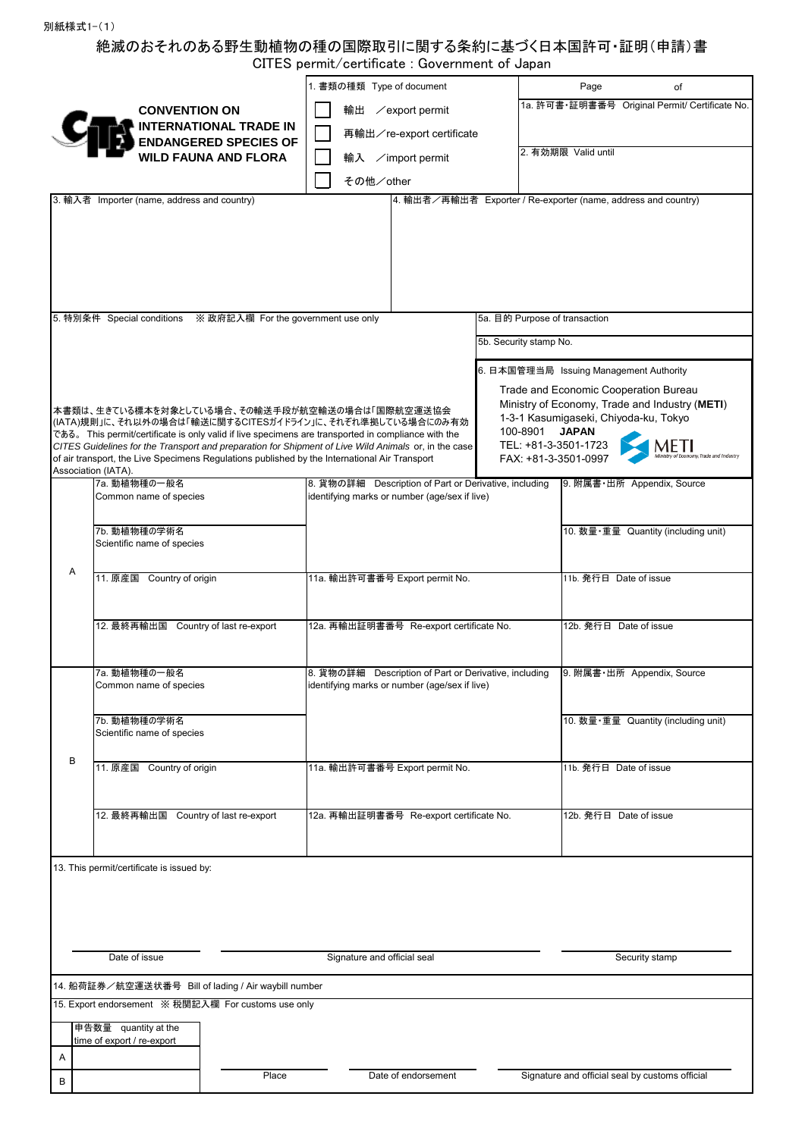## 絶滅のおそれのある野生動植物の種の国際取引に関する条約に基づく日本国許可・証明(申請)書 CITES permit/certificate : Government of Japan

| <b>CONVENTION ON</b><br>輸出 / export permit                                                                                                                                                                                                                      | 1a. 許可書·証明書番号 Original Permit/ Certificate No. |  |  |  |  |
|-----------------------------------------------------------------------------------------------------------------------------------------------------------------------------------------------------------------------------------------------------------------|------------------------------------------------|--|--|--|--|
| <b>INTERNATIONAL TRADE IN</b><br>再輸出/re-export certificate                                                                                                                                                                                                      |                                                |  |  |  |  |
| <b>ENDANGERED SPECIES OF</b><br>2. 有効期限 Valid until<br><b>WILD FAUNA AND FLORA</b><br>輸入 /import permit                                                                                                                                                         |                                                |  |  |  |  |
|                                                                                                                                                                                                                                                                 |                                                |  |  |  |  |
| その他/other<br>4. 輸出者/再輸出者 Exporter / Re-exporter (name, address and country)<br>3. 輸入者 Importer (name, address and country)                                                                                                                                      |                                                |  |  |  |  |
|                                                                                                                                                                                                                                                                 |                                                |  |  |  |  |
|                                                                                                                                                                                                                                                                 |                                                |  |  |  |  |
|                                                                                                                                                                                                                                                                 |                                                |  |  |  |  |
|                                                                                                                                                                                                                                                                 |                                                |  |  |  |  |
|                                                                                                                                                                                                                                                                 |                                                |  |  |  |  |
| 5. 特別条件 Special conditions ※ 政府記入欄 For the government use only                                                                                                                                                                                                  | 5a. 目的 Purpose of transaction                  |  |  |  |  |
| 5b. Security stamp No.                                                                                                                                                                                                                                          |                                                |  |  |  |  |
|                                                                                                                                                                                                                                                                 |                                                |  |  |  |  |
| 6. 日本国管理当局 Issuing Management Authority                                                                                                                                                                                                                         |                                                |  |  |  |  |
| Trade and Economic Cooperation Bureau                                                                                                                                                                                                                           | Ministry of Economy, Trade and Industry (METI) |  |  |  |  |
| 本書類は、生きている標本を対象としている場合、その輸送手段が航空輸送の場合は「国際航空運送協会<br>1-3-1 Kasumigaseki, Chiyoda-ku, Tokyo<br>(IATA)規則」に、それ以外の場合は「輸送に関するCITESガイドライン」に、それぞれ準拠している場合にのみ有効                                                                                                           |                                                |  |  |  |  |
| 100-8901<br><b>JAPAN</b><br>である。 This permit/certificate is only valid if live specimens are transported in compliance with the<br>TEL: +81-3-3501-1723<br>CITES Guidelines for the Transport and preparation for Shipment of Live Wild Animals or, in the case | METI                                           |  |  |  |  |
| of air transport, the Live Specimens Regulations published by the International Air Transport<br>FAX: +81-3-3501-0997<br>Association (IATA).                                                                                                                    |                                                |  |  |  |  |
| 7a. 動植物種の一般名<br>8. 貨物の詳細 Description of Part or Derivative, including                                                                                                                                                                                           | 9. 附属書·出所 Appendix, Source                     |  |  |  |  |
| Common name of species<br>identifying marks or number (age/sex if live)                                                                                                                                                                                         |                                                |  |  |  |  |
| 7b. 動植物種の学術名                                                                                                                                                                                                                                                    | 10. 数量·重量 Quantity (including unit)            |  |  |  |  |
| Scientific name of species                                                                                                                                                                                                                                      |                                                |  |  |  |  |
| Α                                                                                                                                                                                                                                                               |                                                |  |  |  |  |
| 11. 原産国 Country of origin<br>11a. 輸出許可書番号 Export permit No.                                                                                                                                                                                                     | 11b. 発行日 Date of issue                         |  |  |  |  |
|                                                                                                                                                                                                                                                                 |                                                |  |  |  |  |
| 12. 最終再輸出国 Country of last re-export<br>12a. 再輸出証明書番号 Re-export certificate No.                                                                                                                                                                                 | 12b. 発行日 Date of issue                         |  |  |  |  |
|                                                                                                                                                                                                                                                                 |                                                |  |  |  |  |
| 7a. 動植物種の一般名<br>8. 貨物の詳細<br>Description of Part or Derivative, including                                                                                                                                                                                        | 9. 附属書·出所 Appendix, Source                     |  |  |  |  |
| Common name of species<br>identifying marks or number (age/sex if live)                                                                                                                                                                                         |                                                |  |  |  |  |
| 7b. 動植物種の学術名                                                                                                                                                                                                                                                    | 10. 数量 · 重量 Quantity (including unit)          |  |  |  |  |
| Scientific name of species                                                                                                                                                                                                                                      |                                                |  |  |  |  |
| B                                                                                                                                                                                                                                                               |                                                |  |  |  |  |
| 11. 原産国 Country of origin<br>11a. 輸出許可書番号 Export permit No.                                                                                                                                                                                                     | 11b. 発行日 Date of issue                         |  |  |  |  |
|                                                                                                                                                                                                                                                                 |                                                |  |  |  |  |
| 12. 最終再輸出国 Country of last re-export<br>12a. 再輸出証明書番号 Re-export certificate No.                                                                                                                                                                                 | 12b. 発行日 Date of issue                         |  |  |  |  |
|                                                                                                                                                                                                                                                                 |                                                |  |  |  |  |
|                                                                                                                                                                                                                                                                 |                                                |  |  |  |  |
| 13. This permit/certificate is issued by:                                                                                                                                                                                                                       |                                                |  |  |  |  |
|                                                                                                                                                                                                                                                                 |                                                |  |  |  |  |
|                                                                                                                                                                                                                                                                 |                                                |  |  |  |  |
|                                                                                                                                                                                                                                                                 |                                                |  |  |  |  |
| Date of issue<br>Signature and official seal                                                                                                                                                                                                                    | Security stamp                                 |  |  |  |  |
| 14. 船荷証券/航空運送状番号 Bill of lading / Air waybill number                                                                                                                                                                                                            |                                                |  |  |  |  |
| 15. Export endorsement ※ 税関記入欄 For customs use only                                                                                                                                                                                                             |                                                |  |  |  |  |
| 申告数量 quantity at the                                                                                                                                                                                                                                            |                                                |  |  |  |  |
| time of export / re-export                                                                                                                                                                                                                                      |                                                |  |  |  |  |
| Α<br>Signature and official seal by customs official<br>Date of endorsement<br>Place                                                                                                                                                                            |                                                |  |  |  |  |
| В                                                                                                                                                                                                                                                               |                                                |  |  |  |  |